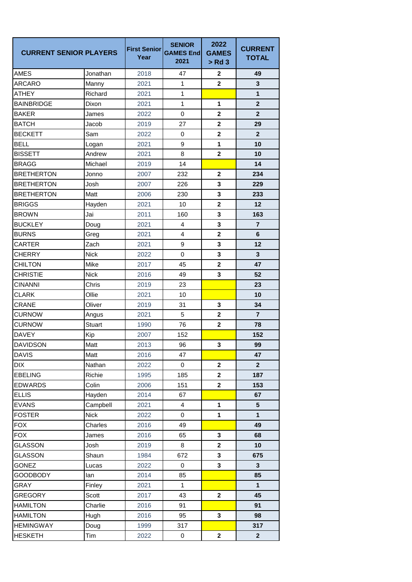| <b>CURRENT SENIOR PLAYERS</b> |               | <b>First Senior</b><br>Year | <b>SENIOR</b><br><b>GAMES End</b><br>2021 | 2022<br><b>GAMES</b><br>$>$ Rd 3 | <b>CURRENT</b><br><b>TOTAL</b> |
|-------------------------------|---------------|-----------------------------|-------------------------------------------|----------------------------------|--------------------------------|
| AMES                          | Jonathan      | 2018                        | 47                                        | $\mathbf{2}$                     | 49                             |
| <b>ARCARO</b>                 | Manny         | 2021                        | 1                                         | $\mathbf{2}$                     | 3                              |
| <b>ATHEY</b>                  | Richard       | 2021                        | 1                                         |                                  | $\mathbf{1}$                   |
| <b>BAINBRIDGE</b>             | Dixon         | 2021                        | 1                                         | 1                                | $\mathbf{2}$                   |
| <b>BAKER</b>                  | James         | 2022                        | $\mathbf 0$                               | $\mathbf 2$                      | $\mathbf{2}$                   |
| <b>BATCH</b>                  | Jacob         | 2019                        | 27                                        | $\overline{2}$                   | 29                             |
| <b>BECKETT</b>                | Sam           | 2022                        | 0                                         | $\overline{2}$                   | $\mathbf{2}$                   |
| <b>BELL</b>                   | Logan         | 2021                        | 9                                         | 1                                | 10                             |
| <b>BISSETT</b>                | Andrew        | 2021                        | 8                                         | $\mathbf 2$                      | 10                             |
| <b>BRAGG</b>                  | Michael       | 2019                        | 14                                        |                                  | 14                             |
| <b>BRETHERTON</b>             | Jonno         | 2007                        | 232                                       | $\mathbf 2$                      | 234                            |
| <b>BRETHERTON</b>             | Josh          | 2007                        | 226                                       | 3                                | 229                            |
| <b>BRETHERTON</b>             | Matt          | 2006                        | 230                                       | 3                                | 233                            |
| <b>BRIGGS</b>                 | Hayden        | 2021                        | 10                                        | $\mathbf{2}$                     | 12                             |
| <b>BROWN</b>                  | Jai           | 2011                        | 160                                       | 3                                | 163                            |
| <b>BUCKLEY</b>                | Doug          | 2021                        | 4                                         | 3                                | $\overline{7}$                 |
| <b>BURNS</b>                  | Greg          | 2021                        | 4                                         | $\mathbf{2}$                     | 6                              |
| CARTER                        | Zach          | 2021                        | $\boldsymbol{9}$                          | 3                                | 12                             |
| <b>CHERRY</b>                 | <b>Nick</b>   | 2022                        | $\mathbf 0$                               | 3                                | 3                              |
| <b>CHILTON</b>                | Mike          | 2017                        | 45                                        | $\mathbf 2$                      | 47                             |
| <b>CHRISTIE</b>               | <b>Nick</b>   | 2016                        | 49                                        | 3                                | 52                             |
| <b>CINANNI</b>                | Chris         | 2019                        | 23                                        |                                  | 23                             |
| <b>CLARK</b>                  | Ollie         | 2021                        | 10                                        |                                  | 10                             |
| <b>CRANE</b>                  | Oliver        | 2019                        | 31                                        | 3                                | 34                             |
| <b>CURNOW</b>                 | Angus         | 2021                        | 5                                         | $\mathbf 2$                      | $\overline{7}$                 |
| <b>CURNOW</b>                 | <b>Stuart</b> | 1990                        | 76                                        | $\mathbf 2$                      | 78                             |
| <b>DAVEY</b>                  | Kip           | 2007                        | 152                                       |                                  | 152                            |
| <b>DAVIDSON</b>               | Matt          | 2013                        | 96                                        | 3                                | 99                             |
| <b>DAVIS</b>                  | Matt          | 2016                        | 47                                        |                                  | 47                             |
| <b>DIX</b>                    | Nathan        | 2022                        | $\pmb{0}$                                 | $\mathbf{2}$                     | $\overline{2}$                 |
| <b>EBELING</b>                | Richie        | 1995                        | 185                                       | $\overline{2}$                   | 187                            |
| <b>EDWARDS</b>                | Colin         | 2006                        | 151                                       | $\mathbf 2$                      | 153                            |
| <b>ELLIS</b>                  | Hayden        | 2014                        | 67                                        |                                  | 67                             |
| <b>EVANS</b>                  | Campbell      | 2021                        | $\overline{4}$                            | $\mathbf{1}$                     | $5\phantom{.0}$                |
| <b>FOSTER</b>                 | <b>Nick</b>   | 2022                        | $\pmb{0}$                                 | 1                                | $\mathbf{1}$                   |
| <b>FOX</b>                    | Charles       | 2016                        | 49                                        |                                  | 49                             |
| <b>FOX</b>                    | James         | 2016                        | 65                                        | 3                                | 68                             |
| GLASSON                       | Josh          | 2019                        | 8                                         | $\mathbf{2}$                     | 10                             |
| <b>GLASSON</b>                | Shaun         | 1984                        | 672                                       | 3                                | 675                            |
| <b>GONEZ</b>                  | Lucas         | 2022                        | 0                                         | 3                                | 3                              |
| <b>GOODBODY</b>               | lan           | 2014                        | 85                                        |                                  | 85                             |
| GRAY                          | Finley        | 2021                        | $\mathbf{1}$                              |                                  | $\mathbf{1}$                   |
| <b>GREGORY</b>                | Scott         | 2017                        | 43                                        | $\mathbf{2}$                     | 45                             |
| <b>HAMILTON</b>               | Charlie       | 2016                        | 91                                        |                                  | 91                             |
| <b>HAMILTON</b>               | Hugh          | 2016                        | 95                                        | 3                                | 98                             |
| <b>HEMINGWAY</b>              | Doug          | 1999                        | 317                                       |                                  | 317                            |
| <b>HESKETH</b>                | Tim           | 2022                        | 0                                         | $\mathbf{2}$                     | $\mathbf{2}$                   |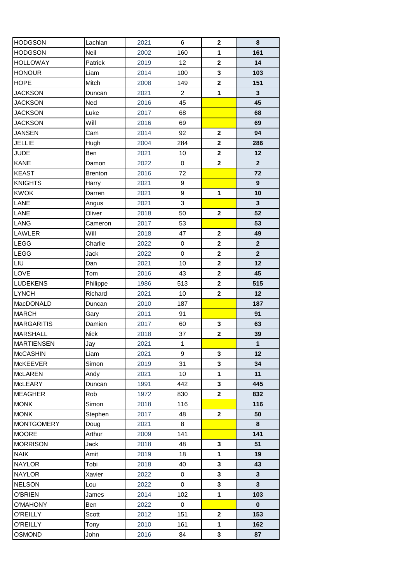| <b>HODGSON</b>    | Lachlan        | 2021 | 6              | $\mathbf{2}$ | 8                |
|-------------------|----------------|------|----------------|--------------|------------------|
| <b>HODGSON</b>    | Neil           | 2002 | 160            | 1            | 161              |
| <b>HOLLOWAY</b>   | Patrick        | 2019 | 12             | $\mathbf{2}$ | 14               |
| <b>HONOUR</b>     | Liam           | 2014 | 100            | 3            | 103              |
| <b>HOPE</b>       | Mitch          | 2008 | 149            | $\mathbf{2}$ | 151              |
| <b>JACKSON</b>    | Duncan         | 2021 | $\overline{2}$ | $\mathbf{1}$ | $\mathbf{3}$     |
| <b>JACKSON</b>    | Ned            | 2016 | 45             |              | 45               |
| <b>JACKSON</b>    | Luke           | 2017 | 68             |              | 68               |
| <b>JACKSON</b>    | Will           | 2016 | 69             |              | 69               |
| <b>JANSEN</b>     | Cam            | 2014 | 92             | $\mathbf{2}$ | 94               |
| <b>JELLIE</b>     | Hugh           | 2004 | 284            | $\mathbf{2}$ | 286              |
| <b>JUDE</b>       | Ben            | 2021 | 10             | $\mathbf 2$  | 12               |
| <b>KANE</b>       | Damon          | 2022 | $\mathbf 0$    | $\mathbf{2}$ | $\overline{2}$   |
| <b>KEAST</b>      | <b>Brenton</b> | 2016 | 72             |              | 72               |
| <b>KNIGHTS</b>    | Harry          | 2021 | 9              |              | $\boldsymbol{9}$ |
| <b>KWOK</b>       | Darren         | 2021 | 9              | $\mathbf{1}$ | 10               |
| LANE              | Angus          | 2021 | $\mathbf{3}$   |              | $\mathbf{3}$     |
| LANE              | Oliver         | 2018 | 50             | $\mathbf{2}$ | 52               |
| <b>LANG</b>       | Cameron        | 2017 | 53             |              | 53               |
| LAWLER            | Will           | 2018 | 47             | $\mathbf{2}$ | 49               |
| <b>LEGG</b>       | Charlie        | 2022 | $\mathbf 0$    | $\mathbf{2}$ | $\mathbf{2}$     |
| <b>LEGG</b>       | Jack           | 2022 | $\mathbf 0$    | $\mathbf 2$  | $\mathbf{2}$     |
| LIU               | Dan            | 2021 | 10             | $\mathbf 2$  | 12               |
| LOVE              | Tom            | 2016 | 43             | $\mathbf 2$  | 45               |
| <b>LUDEKENS</b>   | Philippe       | 1986 | 513            | $\mathbf{2}$ | 515              |
| <b>LYNCH</b>      | Richard        | 2021 | 10             | $\mathbf{2}$ | 12               |
| MacDONALD         | Duncan         | 2010 | 187            |              | 187              |
| <b>MARCH</b>      | Gary           | 2011 | 91             |              | 91               |
| <b>MARGARITIS</b> | Damien         | 2017 | 60             | 3            | 63               |
| <b>MARSHALL</b>   | <b>Nick</b>    | 2018 | 37             | $\mathbf{2}$ | 39               |
| <b>MARTIENSEN</b> | Jay            | 2021 | $\mathbf{1}$   |              | $\mathbf{1}$     |
| <b>McCASHIN</b>   | Liam           | 2021 | 9              | 3            | 12               |
| <b>McKEEVER</b>   | Simon          | 2019 | 31             | 3            | 34               |
| <b>McLAREN</b>    | Andy           | 2021 | 10             | 1            | 11               |
| <b>McLEARY</b>    | Duncan         | 1991 | 442            | 3            | 445              |
| <b>MEAGHER</b>    | Rob            | 1972 | 830            | $\mathbf{2}$ | 832              |
| <b>MONK</b>       | Simon          | 2018 | 116            |              | 116              |
| <b>MONK</b>       | Stephen        | 2017 | 48             | $\mathbf{2}$ | 50               |
| <b>MONTGOMERY</b> | Doug           | 2021 | 8              |              | 8                |
| <b>MOORE</b>      | Arthur         | 2009 | 141            |              | 141              |
| <b>MORRISON</b>   | Jack           | 2018 | 48             | 3            | 51               |
| <b>NAIK</b>       | Amit           | 2019 | 18             | $\mathbf{1}$ | 19               |
| <b>NAYLOR</b>     | Tobi           | 2018 | 40             | 3            | 43               |
| <b>NAYLOR</b>     | Xavier         | 2022 | 0              | 3            | $\mathbf{3}$     |
| <b>NELSON</b>     | Lou            | 2022 | 0              | 3            | 3                |
| <b>O'BRIEN</b>    | James          | 2014 | 102            | 1            | 103              |
| <b>O'MAHONY</b>   | Ben            | 2022 | 0              |              | $\mathbf{0}$     |
| <b>O'REILLY</b>   | Scott          | 2012 | 151            | $\mathbf{2}$ | 153              |
| <b>O'REILLY</b>   | Tony           | 2010 | 161            | 1            | 162              |
| <b>OSMOND</b>     | John           | 2016 | 84             | 3            | 87               |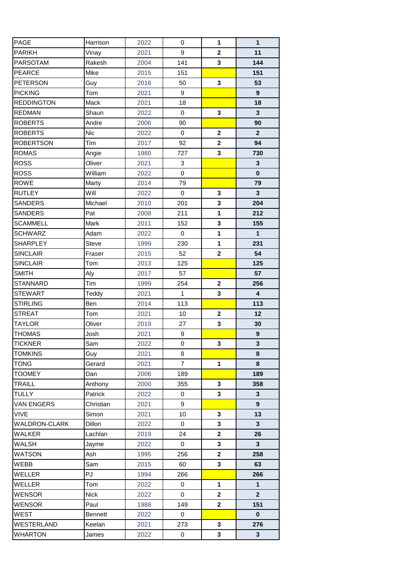| PAGE                 | Harrison       | 2022 | 0              | $\mathbf{1}$            | $\mathbf{1}$     |
|----------------------|----------------|------|----------------|-------------------------|------------------|
| <b>PARIKH</b>        | Vinay          | 2021 | 9              | $\mathbf 2$             | 11               |
| <b>PARSOTAM</b>      | Rakesh         | 2004 | 141            | 3                       | 144              |
| <b>PEARCE</b>        | Mike           | 2015 | 151            |                         | 151              |
| <b>PETERSON</b>      | Guy            | 2016 | 50             | $\mathbf{3}$            | 53               |
| <b>PICKING</b>       | Tom            | 2021 | 9              |                         | 9                |
| <b>REDDINGTON</b>    | Mack           | 2021 | 18             |                         | 18               |
| <b>REDMAN</b>        | Shaun          | 2022 | $\mathbf 0$    | $\mathbf{3}$            | $\mathbf{3}$     |
| <b>ROBERTS</b>       | Andre          | 2006 | 90             |                         | 90               |
| <b>ROBERTS</b>       | <b>Nic</b>     | 2022 | 0              | $\mathbf{2}$            | $\mathbf{2}$     |
| <b>ROBERTSON</b>     | Tim            | 2017 | 92             | $\mathbf 2$             | 94               |
| <b>ROMAS</b>         | Angie          | 1980 | 727            | $\mathbf{3}$            | 730              |
| <b>ROSS</b>          | Oliver         | 2021 | 3              |                         | 3                |
| <b>ROSS</b>          | William        | 2022 | $\mathbf 0$    |                         | $\bf{0}$         |
| <b>ROWE</b>          | Marty          | 2014 | 79             |                         | 79               |
| <b>RUTLEY</b>        | Will           | 2022 | $\mathbf 0$    | 3                       | $\mathbf{3}$     |
| <b>SANDERS</b>       | Michael        | 2010 | 201            | $\mathbf{3}$            | 204              |
| <b>SANDERS</b>       | Pat            | 2008 | 211            | $\mathbf{1}$            | 212              |
| <b>SCAMMELL</b>      | Mark           | 2011 | 152            | 3                       | 155              |
| <b>SCHWARZ</b>       | Adam           | 2022 | 0              | $\mathbf{1}$            | $\mathbf{1}$     |
| <b>SHARPLEY</b>      | <b>Steve</b>   | 1999 | 230            | $\mathbf{1}$            | 231              |
| <b>SINCLAIR</b>      | Fraser         | 2015 | 52             | $\mathbf 2$             | 54               |
| <b>SINCLAIR</b>      | Tom            | 2013 | 125            |                         | 125              |
| <b>SMITH</b>         | Aly            | 2017 | 57             |                         | 57               |
| <b>STANNARD</b>      | Tim            | 1999 | 254            | $\mathbf{2}$            | 256              |
| <b>STEWART</b>       | Teddy          | 2021 | $\mathbf{1}$   | 3                       | 4                |
| <b>STIRLING</b>      | Ben            | 2014 | 113            |                         | 113              |
| <b>STREAT</b>        | Tom            | 2021 | 10             | $\mathbf{2}$            | 12               |
| <b>TAYLOR</b>        | Oliver         | 2019 | 27             | 3                       | 30               |
| <b>THOMAS</b>        | Josh           | 2021 | 9              |                         | $\boldsymbol{9}$ |
| <b>TICKNER</b>       | Sam            | 2022 | 0              | 3                       | 3                |
| <b>TOMKINS</b>       | Guy            | 2021 | 8              |                         | 8                |
| <b>TONG</b>          | Gerard         | 2021 | $\overline{7}$ | 1                       | 8                |
| <b>TOOMEY</b>        | Dan            | 2006 | 189            |                         | 189              |
| <b>TRAILL</b>        | Anthony        | 2000 | 355            | 3                       | 358              |
| <b>TULLY</b>         | Patrick        | 2022 | 0              | 3                       | 3                |
| <b>VAN ENGERS</b>    | Christian      | 2021 | 9              |                         | 9                |
| <b>VIVE</b>          | Simon          | 2021 | 10             | 3                       | 13               |
| <b>WALDRON-CLARK</b> | Dillon         | 2022 | 0              | 3                       | 3                |
| <b>WALKER</b>        | Lachlan        | 2019 | 24             | $\overline{\mathbf{2}}$ | 26               |
| <b>WALSH</b>         | Jayme          | 2022 | 0              | 3                       | 3                |
| <b>WATSON</b>        | Ash            | 1995 | 256            | $\mathbf{2}$            | 258              |
| WEBB                 | Sam            | 2015 | 60             | 3                       | 63               |
| WELLER               | PJ             | 1994 | 266            |                         | 266              |
| WELLER               | Tom            | 2022 | 0              | 1                       | $\mathbf{1}$     |
| <b>WENSOR</b>        | <b>Nick</b>    | 2022 | 0              | $\mathbf{2}$            | $\mathbf{2}$     |
| <b>WENSOR</b>        | Paul           | 1988 | 149            | $\mathbf{2}$            | 151              |
| <b>WEST</b>          | <b>Bennett</b> | 2022 | 0              |                         | 0                |
| <b>WESTERLAND</b>    | Keelan         | 2021 | 273            | 3                       | 276              |
| <b>WHARTON</b>       | James          | 2022 | 0              | 3                       | 3                |